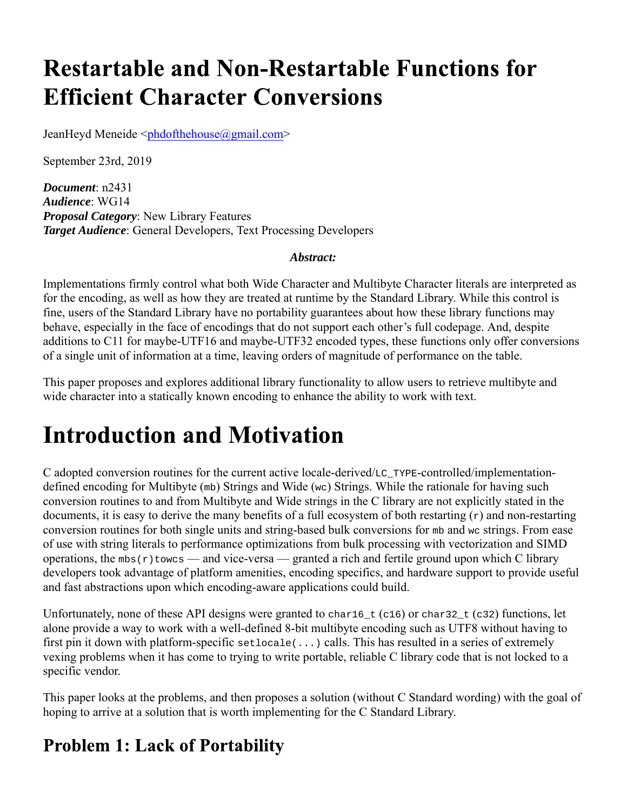# **Restartable and Non-Restartable Functions for Efficient Character Conversions**

JeanHeyd Meneide <phdofthehouse@gmail.com>

September 23rd, 2019

*Document*: n2431 *Audience*: WG14 *Proposal Category*: New Library Features *Target Audience*: General Developers, Text Processing Developers

#### *Abstract:*

Implementations firmly control what both Wide Character and Multibyte Character literals are interpreted as for the encoding, as well as how they are treated at runtime by the Standard Library. While this control is fine, users of the Standard Library have no portability guarantees about how these library functions may behave, especially in the face of encodings that do not support each other's full codepage. And, despite additions to C11 for maybe-UTF16 and maybe-UTF32 encoded types, these functions only offer conversions of a single unit of information at a time, leaving orders of magnitude of performance on the table.

This paper proposes and explores additional library functionality to allow users to retrieve multibyte and wide character into a statically known encoding to enhance the ability to work with text.

### **Introduction and Motivation**

C adopted conversion routines for the current active locale-derived/LC\_TYPE-controlled/implementationdefined encoding for Multibyte (mb) Strings and Wide (wc) Strings. While the rationale for having such conversion routines to and from Multibyte and Wide strings in the C library are not explicitly stated in the documents, it is easy to derive the many benefits of a full ecosystem of both restarting  $(r)$  and non-restarting conversion routines for both single units and string-based bulk conversions for mb and wc strings. From ease of use with string literals to performance optimizations from bulk processing with vectorization and SIMD operations, the  $mbs(r)$  towcs — and vice-versa — granted a rich and fertile ground upon which C library developers took advantage of platform amenities, encoding specifics, and hardware support to provide useful and fast abstractions upon which encoding-aware applications could build.

Unfortunately, none of these API designs were granted to char16<sub>\_t</sub> (c16) or char32<sub>\_t</sub> (c32) functions, let alone provide a way to work with a well-defined 8-bit multibyte encoding such as UTF8 without having to first pin it down with platform-specific setlocale(...) calls. This has resulted in a series of extremely vexing problems when it has come to trying to write portable, reliable C library code that is not locked to a specific vendor.

This paper looks at the problems, and then proposes a solution (without C Standard wording) with the goal of hoping to arrive at a solution that is worth implementing for the C Standard Library.

#### **Problem 1: Lack of Portability**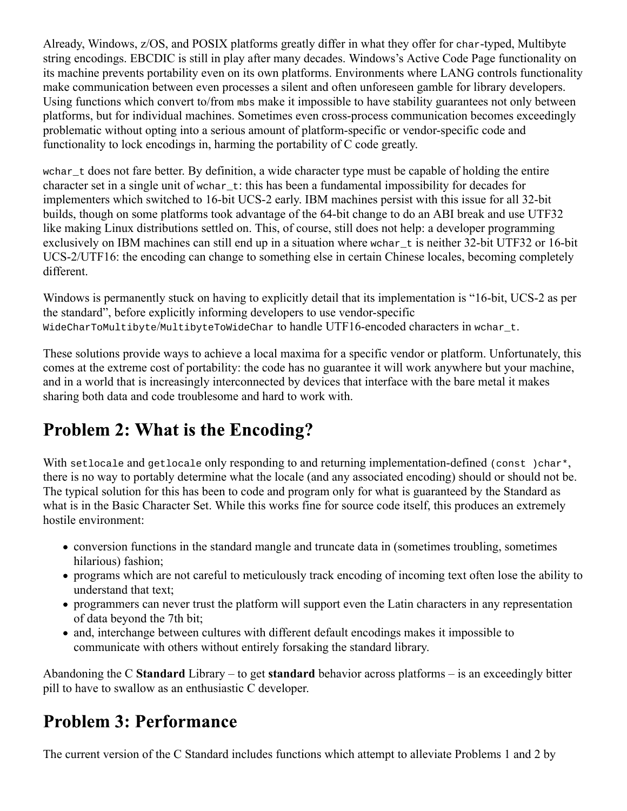Already, Windows, z/OS, and POSIX platforms greatly differ in what they offer for char-typed, Multibyte string encodings. EBCDIC is still in play after many decades. Windows's Active Code Page functionality on its machine prevents portability even on its own platforms. Environments where LANG controls functionality make communication between even processes a silent and often unforeseen gamble for library developers. Using functions which convert to/from mbs make it impossible to have stability guarantees not only between platforms, but for individual machines. Sometimes even cross-process communication becomes exceedingly problematic without opting into a serious amount of platform-specific or vendor-specific code and functionality to lock encodings in, harming the portability of C code greatly.

wchar t does not fare better. By definition, a wide character type must be capable of holding the entire character set in a single unit of wchar\_t: this has been a fundamental impossibility for decades for implementers which switched to 16-bit UCS-2 early. IBM machines persist with this issue for all 32-bit builds, though on some platforms took advantage of the 64-bit change to do an ABI break and use UTF32 like making Linux distributions settled on. This, of course, still does not help: a developer programming exclusively on IBM machines can still end up in a situation where wchar t is neither 32-bit UTF32 or 16-bit UCS-2/UTF16: the encoding can change to something else in certain Chinese locales, becoming completely different.

Windows is permanently stuck on having to explicitly detail that its implementation is "16-bit, UCS-2 as per the standard", before explicitly informing developers to use vendor-specific WideCharToMultibyte/MultibyteToWideChar to handle UTF16-encoded characters in wchar\_t.

These solutions provide ways to achieve a local maxima for a specific vendor or platform. Unfortunately, this comes at the extreme cost of portability: the code has no guarantee it will work anywhere but your machine, and in a world that is increasingly interconnected by devices that interface with the bare metal it makes sharing both data and code troublesome and hard to work with.

#### **Problem 2: What is the Encoding?**

With setlocale and getlocale only responding to and returning implementation-defined (const)char\*, there is no way to portably determine what the locale (and any associated encoding) should or should not be. The typical solution for this has been to code and program only for what is guaranteed by the Standard as what is in the Basic Character Set. While this works fine for source code itself, this produces an extremely hostile environment:

- conversion functions in the standard mangle and truncate data in (sometimes troubling, sometimes hilarious) fashion;
- programs which are not careful to meticulously track encoding of incoming text often lose the ability to understand that text;
- programmers can never trust the platform will support even the Latin characters in any representation of data beyond the 7th bit;
- and, interchange between cultures with different default encodings makes it impossible to communicate with others without entirely forsaking the standard library.

Abandoning the C **Standard** Library – to get **standard** behavior across platforms – is an exceedingly bitter pill to have to swallow as an enthusiastic C developer.

#### **Problem 3: Performance**

The current version of the C Standard includes functions which attempt to alleviate Problems 1 and 2 by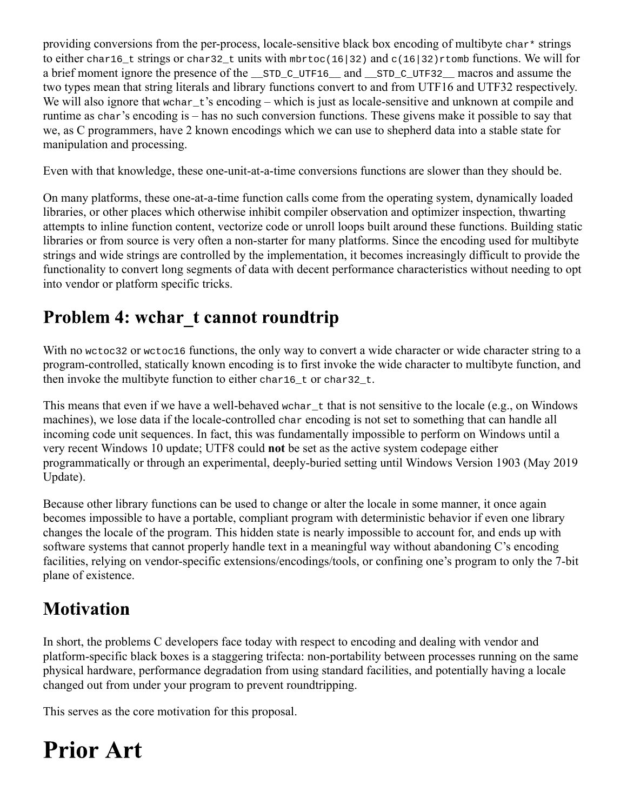providing conversions from the per-process, locale-sensitive black box encoding of multibyte char\* strings to either char16 t strings or char32 t units with mbrtoc(16|32) and c(16|32)rtomb functions. We will for a brief moment ignore the presence of the \_\_STD\_C\_UTF16\_\_ and \_\_STD\_C\_UTF32\_\_ macros and assume the two types mean that string literals and library functions convert to and from UTF16 and UTF32 respectively. We will also ignore that wchar\_t's encoding – which is just as locale-sensitive and unknown at compile and runtime as char's encoding is – has no such conversion functions. These givens make it possible to say that we, as C programmers, have 2 known encodings which we can use to shepherd data into a stable state for manipulation and processing.

Even with that knowledge, these one-unit-at-a-time conversions functions are slower than they should be.

On many platforms, these one-at-a-time function calls come from the operating system, dynamically loaded libraries, or other places which otherwise inhibit compiler observation and optimizer inspection, thwarting attempts to inline function content, vectorize code or unroll loops built around these functions. Building static libraries or from source is very often a non-starter for many platforms. Since the encoding used for multibyte strings and wide strings are controlled by the implementation, it becomes increasingly difficult to provide the functionality to convert long segments of data with decent performance characteristics without needing to opt into vendor or platform specific tricks.

#### Problem 4: wchar\_t cannot roundtrip

With no wctoc32 or wctoc16 functions, the only way to convert a wide character or wide character string to a program-controlled, statically known encoding is to first invoke the wide character to multibyte function, and then invoke the multibyte function to either char16\_t or char32\_t.

This means that even if we have a well-behaved wchar\_t that is not sensitive to the locale (e.g., on Windows machines), we lose data if the locale-controlled char encoding is not set to something that can handle all incoming code unit sequences. In fact, this was fundamentally impossible to perform on Windows until a very recent Windows 10 update; UTF8 could **not** be set as the active system codepage either programmatically or through an experimental, deeply-buried setting until Windows Version 1903 (May 2019 Update).

Because other library functions can be used to change or alter the locale in some manner, it once again becomes impossible to have a portable, compliant program with deterministic behavior if even one library changes the locale of the program. This hidden state is nearly impossible to account for, and ends up with software systems that cannot properly handle text in a meaningful way without abandoning C's encoding facilities, relying on vendor-specific extensions/encodings/tools, or confining one's program to only the 7-bit plane of existence.

#### **Motivation**

In short, the problems C developers face today with respect to encoding and dealing with vendor and platform-specific black boxes is a staggering trifecta: non-portability between processes running on the same physical hardware, performance degradation from using standard facilities, and potentially having a locale changed out from under your program to prevent roundtripping.

This serves as the core motivation for this proposal.

### **Prior Art**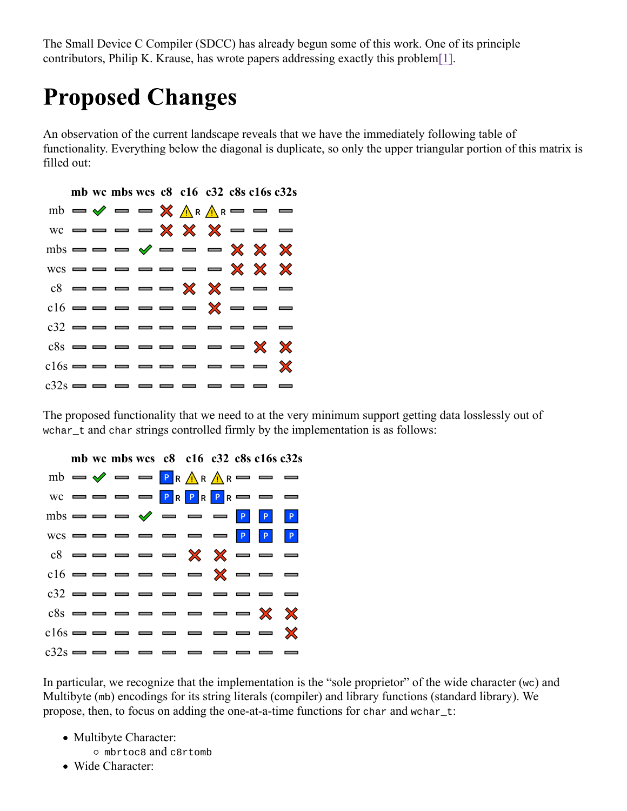The Small Device C Compiler (SDCC) has already begun some of this work. One of its principle contributors, Philip K. Krause, has wrote papers addressing exactly this problem[1].

# **Proposed Changes**

An observation of the current landscape reveals that we have the immediately following table of functionality. Everything below the diagonal is duplicate, so only the upper triangular portion of this matrix is filled out:



The proposed functionality that we need to at the very minimum support getting data losslessly out of wchar\_t and char strings controlled firmly by the implementation is as follows:



In particular, we recognize that the implementation is the "sole proprietor" of the wide character ( $wc$ ) and Multibyte (mb) encodings for its string literals (compiler) and library functions (standard library). We propose, then, to focus on adding the one-at-a-time functions for char and wchar\_t:

- Multibyte Character:
	- mbrtoc8 and c8rtomb
- Wide Character: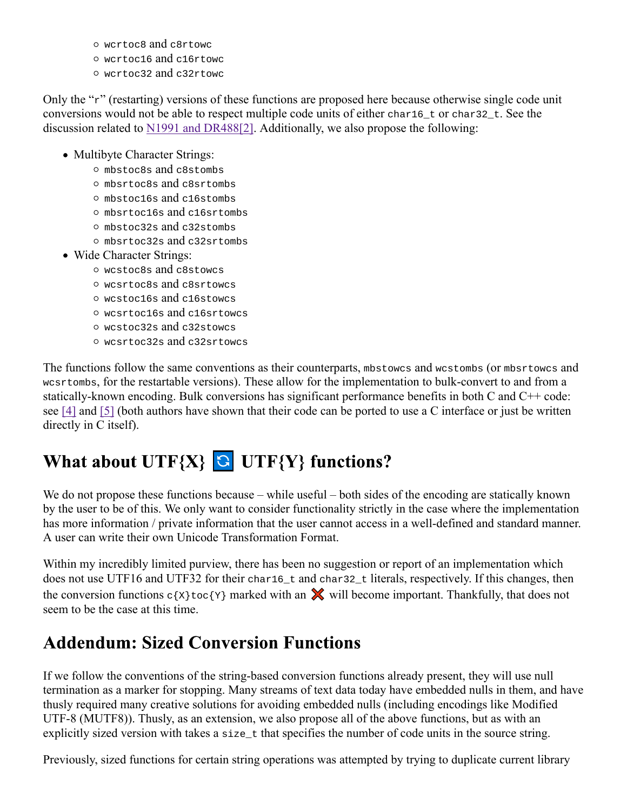- wcrtoc8 and c8rtowc
- wcrtoc16 and c16rtowc
- wcrtoc32 and c32rtowc

Only the "r" (restarting) versions of these functions are proposed here because otherwise single code unit conversions would not be able to respect multiple code units of either char16\_t or char32\_t. See the discussion related to N1991 and DR488[2]. Additionally, we also propose the following:

- Multibyte Character Strings:
	- mbstoc8s and c8stombs
	- mbsrtoc8s and c8srtombs
	- mbstoc16s and c16stombs
	- mbsrtoc16s and c16srtombs
	- mbstoc32s and c32stombs
	- mbsrtoc32s and c32srtombs
- Wide Character Strings:
	- wcstoc8s and c8stowcs
	- wcsrtoc8s and c8srtowcs
	- wcstoc16s and c16stowcs
	- wcsrtoc16s and c16srtowcs
	- wcstoc32s and c32stowcs
	- wcsrtoc32s and c32srtowcs

The functions follow the same conventions as their counterparts, mbstowcs and wcstombs (or mbsrtowcs and wcsrtombs, for the restartable versions). These allow for the implementation to bulk-convert to and from a statically-known encoding. Bulk conversions has significant performance benefits in both C and C++ code: see [4] and [5] (both authors have shown that their code can be ported to use a C interface or just be written directly in C itself).

### What about  $UTF{X}$   $G$   $UTF{Y}$  functions?

We do not propose these functions because – while useful – both sides of the encoding are statically known by the user to be of this. We only want to consider functionality strictly in the case where the implementation has more information / private information that the user cannot access in a well-defined and standard manner. A user can write their own Unicode Transformation Format.

Within my incredibly limited purview, there has been no suggestion or report of an implementation which does not use UTF16 and UTF32 for their char16\_t and char32\_t literals, respectively. If this changes, then the conversion functions  $c\{x\}$  toc $\{Y\}$  marked with an  $\mathbb X$  will become important. Thankfully, that does not seem to be the case at this time.

#### **Addendum: Sized Conversion Functions**

If we follow the conventions of the string-based conversion functions already present, they will use null termination as a marker for stopping. Many streams of text data today have embedded nulls in them, and have thusly required many creative solutions for avoiding embedded nulls (including encodings like Modified UTF-8 (MUTF8)). Thusly, as an extension, we also propose all of the above functions, but as with an explicitly sized version with takes a size\_t that specifies the number of code units in the source string.

Previously, sized functions for certain string operations was attempted by trying to duplicate current library